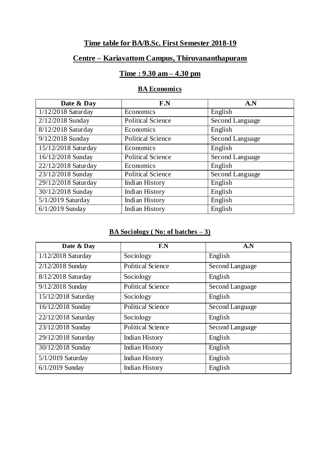### **Time table for BA/B.Sc. First Semester 2018-19**

# **Centre – Kariavattom Campus, Thiruvananthapuram**

#### **Time : 9.30 am – 4.30 pm**

### **BA Economics**

| Date & Day                   | F.N                      | A.N             |
|------------------------------|--------------------------|-----------------|
| 1/12/2018 Saturday           | Economics                | English         |
| 2/12/2018 Sunday             | <b>Political Science</b> | Second Language |
| 8/12/2018 Saturday           | Economics                | English         |
| 9/12/2018 Sunday             | <b>Political Science</b> | Second Language |
| 15/12/2018 Saturday          | Economics                | English         |
| 16/12/2018 Sunday            | <b>Political Science</b> | Second Language |
| 22/12/2018 Saturday          | Economics                | English         |
| 23/12/2018 Sunday            | <b>Political Science</b> | Second Language |
| $\sqrt{29/12/2018}$ Saturday | Indian History           | English         |
| 30/12/2018 Sunday            | Indian History           | English         |
| 5/1/2019 Saturday            | Indian History           | English         |
| $6/1/2019$ Sunday            | Indian History           | English         |

#### **BA Sociology ( No: of batches – 3)**

| Date & Day           | F.N                      | A.N             |
|----------------------|--------------------------|-----------------|
| $1/12/2018$ Saturday | Sociology                | English         |
| 2/12/2018 Sunday     | <b>Political Science</b> | Second Language |
| 8/12/2018 Saturday   | Sociology                | English         |
| 9/12/2018 Sunday     | <b>Political Science</b> | Second Language |
| 15/12/2018 Saturday  | Sociology                | English         |
| 16/12/2018 Sunday    | <b>Political Science</b> | Second Language |
| 22/12/2018 Saturday  | Sociology                | English         |
| 23/12/2018 Sunday    | <b>Political Science</b> | Second Language |
| 29/12/2018 Saturday  | <b>Indian History</b>    | English         |
| 30/12/2018 Sunday    | <b>Indian History</b>    | English         |
| 5/1/2019 Saturday    | <b>Indian History</b>    | English         |
| $6/1/2019$ Sunday    | Indian History           | English         |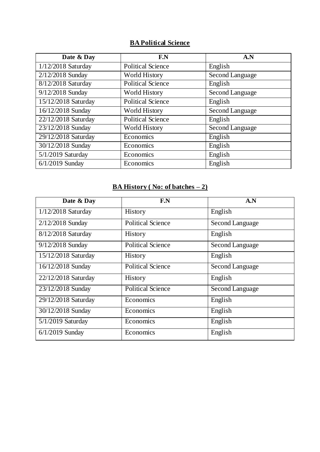# **BA Political Science**

| Date & Day          | F.N                      | A.N             |
|---------------------|--------------------------|-----------------|
| 1/12/2018 Saturday  | <b>Political Science</b> | English         |
| 2/12/2018 Sunday    | <b>World History</b>     | Second Language |
| 8/12/2018 Saturday  | <b>Political Science</b> | English         |
| 9/12/2018 Sunday    | World History            | Second Language |
| 15/12/2018 Saturday | <b>Political Science</b> | English         |
| 16/12/2018 Sunday   | <b>World History</b>     | Second Language |
| 22/12/2018 Saturday | <b>Political Science</b> | English         |
| 23/12/2018 Sunday   | <b>World History</b>     | Second Language |
| 29/12/2018 Saturday | Economics                | English         |
| 30/12/2018 Sunday   | Economics                | English         |
| 5/1/2019 Saturday   | Economics                | English         |
| $6/1/2019$ Sunday   | Economics                | English         |

# **BA History ( No: of batches – 2)**

| Date & Day          | F.N                      | A.N             |
|---------------------|--------------------------|-----------------|
| 1/12/2018 Saturday  | History                  | English         |
| 2/12/2018 Sunday    | <b>Political Science</b> | Second Language |
| 8/12/2018 Saturday  | History                  | English         |
| 9/12/2018 Sunday    | <b>Political Science</b> | Second Language |
| 15/12/2018 Saturday | <b>History</b>           | English         |
| 16/12/2018 Sunday   | <b>Political Science</b> | Second Language |
| 22/12/2018 Saturday | <b>History</b>           | English         |
| 23/12/2018 Sunday   | <b>Political Science</b> | Second Language |
| 29/12/2018 Saturday | Economics                | English         |
| 30/12/2018 Sunday   | Economics                | English         |
| $5/1/2019$ Saturday | Economics                | English         |
| $6/1/2019$ Sunday   | Economics                | English         |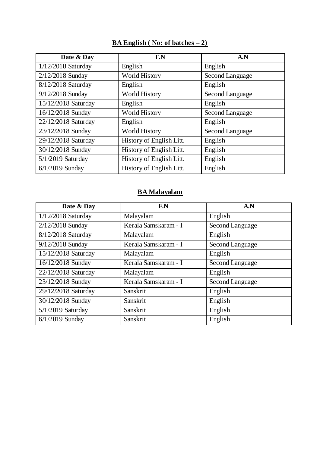| Date & Day          | F.N                      | A.N             |
|---------------------|--------------------------|-----------------|
| 1/12/2018 Saturday  | English                  | English         |
| 2/12/2018 Sunday    | <b>World History</b>     | Second Language |
| 8/12/2018 Saturday  | English                  | English         |
| 9/12/2018 Sunday    | <b>World History</b>     | Second Language |
| 15/12/2018 Saturday | English                  | English         |
| 16/12/2018 Sunday   | <b>World History</b>     | Second Language |
| 22/12/2018 Saturday | English                  | English         |
| 23/12/2018 Sunday   | <b>World History</b>     | Second Language |
| 29/12/2018 Saturday | History of English Litt. | English         |
| 30/12/2018 Sunday   | History of English Litt. | English         |
| 5/1/2019 Saturday   | History of English Litt. | English         |
| $6/1/2019$ Sunday   | History of English Litt. | English         |

# **BA English ( No: of batches – 2)**

#### **BA Malayalam**

| Date & Day          | F.N                  | A.N             |
|---------------------|----------------------|-----------------|
| 1/12/2018 Saturday  | Malayalam            | English         |
| 2/12/2018 Sunday    | Kerala Samskaram - I | Second Language |
| 8/12/2018 Saturday  | Malayalam            | English         |
| 9/12/2018 Sunday    | Kerala Samskaram - I | Second Language |
| 15/12/2018 Saturday | Malayalam            | English         |
| 16/12/2018 Sunday   | Kerala Samskaram - I | Second Language |
| 22/12/2018 Saturday | Malayalam            | English         |
| 23/12/2018 Sunday   | Kerala Samskaram - I | Second Language |
| 29/12/2018 Saturday | Sanskrit             | English         |
| 30/12/2018 Sunday   | Sanskrit             | English         |
| 5/1/2019 Saturday   | Sanskrit             | English         |
| $6/1/2019$ Sunday   | Sanskrit             | English         |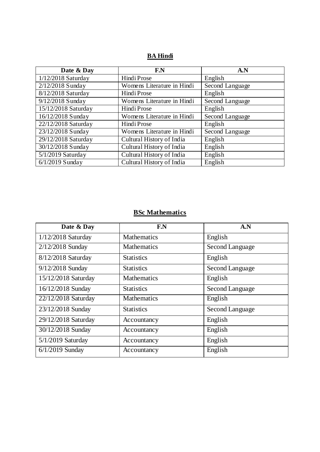#### **BA Hindi**

| Date & Day                     | F.N                        | A.N             |
|--------------------------------|----------------------------|-----------------|
| 1/12/2018 Saturday             | Hindi Prose                | English         |
| $\overline{2/1}$ 2/2018 Sunday | Womens Literature in Hindi | Second Language |
| 8/12/2018 Saturday             | Hindi Prose                | English         |
| 9/12/2018 Sunday               | Womens Literature in Hindi | Second Language |
| 15/12/2018 Saturday            | Hindi Prose                | English         |
| 16/12/2018 Sunday              | Womens Literature in Hindi | Second Language |
| 22/12/2018 Saturday            | Hindi Prose                | English         |
| 23/12/2018 Sunday              | Womens Literature in Hindi | Second Language |
| 29/12/2018 Saturday            | Cultural History of India  | English         |
| 30/12/2018 Sunday              | Cultural History of India  | English         |
| 5/1/2019 Saturday              | Cultural History of India  | English         |
| $6/1/2019$ Sunday              | Cultural History of India  | English         |

# **BSc Mathematics**

| Date & Day          | F.N                | A.N             |
|---------------------|--------------------|-----------------|
| 1/12/2018 Saturday  | <b>Mathematics</b> | English         |
| 2/12/2018 Sunday    | <b>Mathematics</b> | Second Language |
| 8/12/2018 Saturday  | <b>Statistics</b>  | English         |
| 9/12/2018 Sunday    | <b>Statistics</b>  | Second Language |
| 15/12/2018 Saturday | <b>Mathematics</b> | English         |
| 16/12/2018 Sunday   | <b>Statistics</b>  | Second Language |
| 22/12/2018 Saturday | <b>Mathematics</b> | English         |
| 23/12/2018 Sunday   | <b>Statistics</b>  | Second Language |
| 29/12/2018 Saturday | Accountancy        | English         |
| 30/12/2018 Sunday   | Accountancy        | English         |
| 5/1/2019 Saturday   | Accountancy        | English         |
| $6/1/2019$ Sunday   | Accountancy        | English         |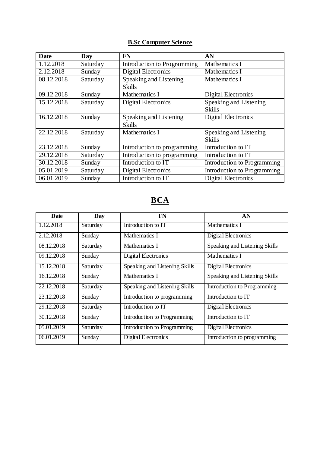### **B.Sc Computer Science**

| Date       | Day      | <b>FN</b>                   | AN                          |
|------------|----------|-----------------------------|-----------------------------|
| 1.12.2018  | Saturday | Introduction to Programming | Mathematics I               |
| 2.12.2018  | Sunday   | <b>Digital Electronics</b>  | Mathematics I               |
| 08.12.2018 | Saturday | Speaking and Listening      | Mathematics I               |
|            |          | <b>Skills</b>               |                             |
| 09.12.2018 | Sunday   | Mathematics I               | <b>Digital Electronics</b>  |
| 15.12.2018 | Saturday | <b>Digital Electronics</b>  | Speaking and Listening      |
|            |          |                             | <b>Skills</b>               |
| 16.12.2018 | Sunday   | Speaking and Listening      | <b>Digital Electronics</b>  |
|            |          | <b>Skills</b>               |                             |
| 22.12.2018 | Saturday | Mathematics I               | Speaking and Listening      |
|            |          |                             | <b>Skills</b>               |
| 23.12.2018 | Sunday   | Introduction to programming | Introduction to IT          |
| 29.12.2018 | Saturday | Introduction to programming | Introduction to IT          |
| 30.12.2018 | Sunday   | Introduction to IT          | Introduction to Programming |
| 05.01.2019 | Saturday | <b>Digital Electronics</b>  | Introduction to Programming |
| 06.01.2019 | Sunday   | Introduction to IT          | <b>Digital Electronics</b>  |

# **BCA**

| Date       | Day      | <b>FN</b>                          | AN                            |
|------------|----------|------------------------------------|-------------------------------|
| 1.12.2018  | Saturday | Introduction to IT                 | Mathematics I                 |
| 2.12.2018  | Sunday   | Mathematics I                      | Digital Electronics           |
| 08.12.2018 | Saturday | Mathematics I                      | Speaking and Listening Skills |
| 09.12.2018 | Sunday   | Digital Electronics                | Mathematics I                 |
| 15.12.2018 | Saturday | Speaking and Listening Skills      | Digital Electronics           |
| 16.12.2018 | Sunday   | Mathematics I                      | Speaking and Listening Skills |
| 22.12.2018 | Saturday | Speaking and Listening Skills      | Introduction to Programming   |
| 23.12.2018 | Sunday   | Introduction to programming        | Introduction to IT            |
| 29.12.2018 | Saturday | Introduction to IT                 | Digital Electronics           |
| 30.12.2018 | Sunday   | Introduction to Programming        | Introduction to IT            |
| 05.01.2019 | Saturday | <b>Introduction to Programming</b> | Digital Electronics           |
| 06.01.2019 | Sunday   | Digital Electronics                | Introduction to programming   |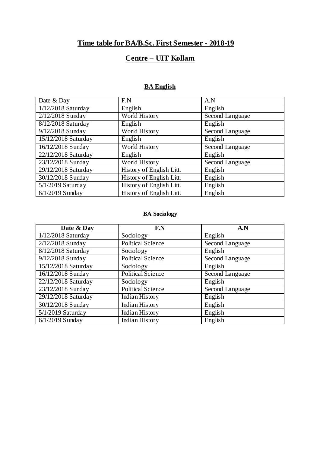# **Time table for BA/B.Sc. First Semester - 2018-19**

# **Centre – UIT Kollam**

#### **BA English**

| Date & Day                   | F.N                      | A.N             |
|------------------------------|--------------------------|-----------------|
| $\sqrt{1/12/201}$ 8 Saturday | English                  | English         |
| 2/12/2018 Sunday             | World History            | Second Language |
| 8/12/2018 Saturday           | English                  | English         |
| 9/12/2018 Sunday             | World History            | Second Language |
| 15/12/2018 Saturday          | English                  | English         |
| 16/12/2018 Sunday            | World History            | Second Language |
| 22/12/2018 Saturday          | English                  | English         |
| 23/12/2018 Sunday            | World History            | Second Language |
| 29/12/2018 Saturday          | History of English Litt. | English         |
| 30/12/2018 Sunday            | History of English Litt. | English         |
| $5/1/2019$ Saturday          | History of English Litt. | English         |
| $6/1/2019$ Sunday            | History of English Litt. | English         |

#### **BA Sociology**

| Date & Day                | F.N                      | A.N             |
|---------------------------|--------------------------|-----------------|
| 1/12/2018 Saturday        | Sociology                | English         |
| $\sqrt{2}/12/2018$ Sunday | <b>Political Science</b> | Second Language |
| 8/12/2018 Saturday        | Sociology                | English         |
| 9/12/2018 Sunday          | Political Science        | Second Language |
| 15/12/2018 Saturday       | Sociology                | English         |
| 16/12/2018 Sunday         | Political Science        | Second Language |
| 22/12/2018 Saturday       | Sociology                | English         |
| 23/12/2018 Sunday         | <b>Political Science</b> | Second Language |
| 29/12/2018 Saturday       | <b>Indian History</b>    | English         |
| 30/12/2018 Sunday         | <b>Indian History</b>    | English         |
| 5/1/2019 Saturday         | <b>Indian History</b>    | English         |
| $6/1/2019$ Sunday         | <b>Indian History</b>    | English         |